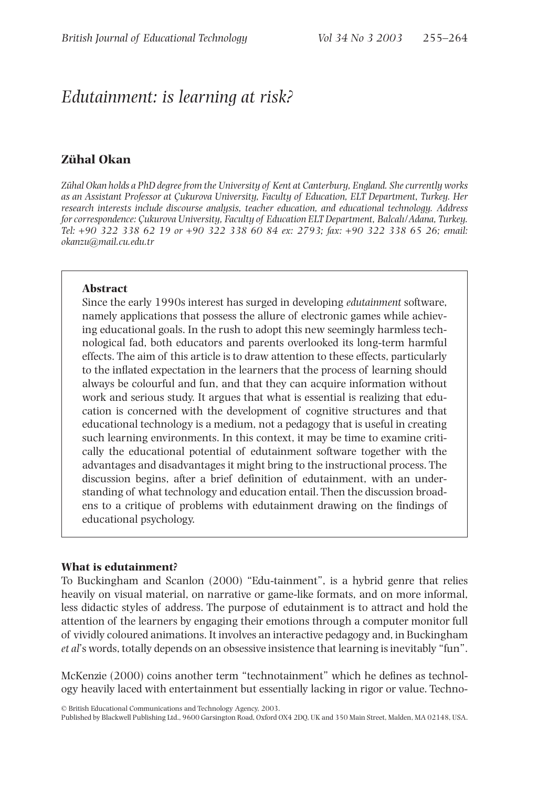# *Edutainment: is learning at risk?*

# **Zühal Okan**

*Zühal Okan holds a PhD degree from the University of Kent at Canterbury, England. She currently works as an Assistant Professor at Çukurova University, Faculty of Education, ELT Department, Turkey. Her research interests include discourse analysis, teacher education, and educational technology. Address for correspondence: Çukurova University, Faculty of Education ELT Department, Balcalı/Adana, Turkey. Tel:* +*90 322 338 62 19 or* +*90 322 338 60 84 ex: 2793; fax:* +*90 322 338 65 26; email: okanzu@mail.cu.edu.tr*

#### **Abstract**

Since the early 1990s interest has surged in developing *edutainment* software, namely applications that possess the allure of electronic games while achieving educational goals. In the rush to adopt this new seemingly harmless technological fad, both educators and parents overlooked its long-term harmful effects. The aim of this article is to draw attention to these effects, particularly to the inflated expectation in the learners that the process of learning should always be colourful and fun, and that they can acquire information without work and serious study. It argues that what is essential is realizing that education is concerned with the development of cognitive structures and that educational technology is a medium, not a pedagogy that is useful in creating such learning environments. In this context, it may be time to examine critically the educational potential of edutainment software together with the advantages and disadvantages it might bring to the instructional process. The discussion begins, after a brief definition of edutainment, with an understanding of what technology and education entail. Then the discussion broadens to a critique of problems with edutainment drawing on the findings of educational psychology.

#### **What is edutainment?**

To Buckingham and Scanlon (2000) "Edu-tainment", is a hybrid genre that relies heavily on visual material, on narrative or game-like formats, and on more informal, less didactic styles of address. The purpose of edutainment is to attract and hold the attention of the learners by engaging their emotions through a computer monitor full of vividly coloured animations. It involves an interactive pedagogy and, in Buckingham *et al*'s words, totally depends on an obsessive insistence that learning is inevitably "fun".

McKenzie (2000) coins another term "technotainment" which he defines as technology heavily laced with entertainment but essentially lacking in rigor or value. Techno-

© British Educational Communications and Technology Agency, 2003.

Published by Blackwell Publishing Ltd., 9600 Garsington Road, Oxford OX4 2DQ, UK and 350 Main Street, Malden, MA 02148, USA.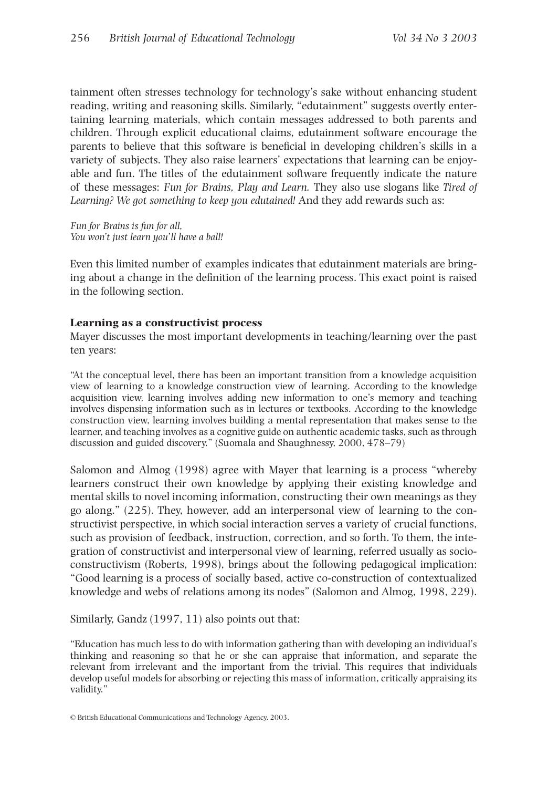tainment often stresses technology for technology's sake without enhancing student reading, writing and reasoning skills. Similarly, "edutainment" suggests overtly entertaining learning materials, which contain messages addressed to both parents and children. Through explicit educational claims, edutainment software encourage the parents to believe that this software is beneficial in developing children's skills in a variety of subjects. They also raise learners' expectations that learning can be enjoyable and fun. The titles of the edutainment software frequently indicate the nature of these messages: *Fun for Brains, Play and Learn.* They also use slogans like *Tired of Learning? We got something to keep you edutained!* And they add rewards such as:

*Fun for Brains is fun for all, You won't just learn you'll have a ball!*

Even this limited number of examples indicates that edutainment materials are bringing about a change in the definition of the learning process. This exact point is raised in the following section.

#### **Learning as a constructivist process**

Mayer discusses the most important developments in teaching/learning over the past ten years:

"At the conceptual level, there has been an important transition from a knowledge acquisition view of learning to a knowledge construction view of learning. According to the knowledge acquisition view, learning involves adding new information to one's memory and teaching involves dispensing information such as in lectures or textbooks. According to the knowledge construction view, learning involves building a mental representation that makes sense to the learner, and teaching involves as a cognitive guide on authentic academic tasks, such as through discussion and guided discovery." (Suomala and Shaughnessy, 2000, 478–79)

Salomon and Almog (1998) agree with Mayer that learning is a process "whereby learners construct their own knowledge by applying their existing knowledge and mental skills to novel incoming information, constructing their own meanings as they go along." (225). They, however, add an interpersonal view of learning to the constructivist perspective, in which social interaction serves a variety of crucial functions, such as provision of feedback, instruction, correction, and so forth. To them, the integration of constructivist and interpersonal view of learning, referred usually as socioconstructivism (Roberts, 1998), brings about the following pedagogical implication: "Good learning is a process of socially based, active co-construction of contextualized knowledge and webs of relations among its nodes" (Salomon and Almog, 1998, 229).

Similarly, Gandz (1997, 11) also points out that:

"Education has much less to do with information gathering than with developing an individual's thinking and reasoning so that he or she can appraise that information, and separate the relevant from irrelevant and the important from the trivial. This requires that individuals develop useful models for absorbing or rejecting this mass of information, critically appraising its validity."

© British Educational Communications and Technology Agency, 2003.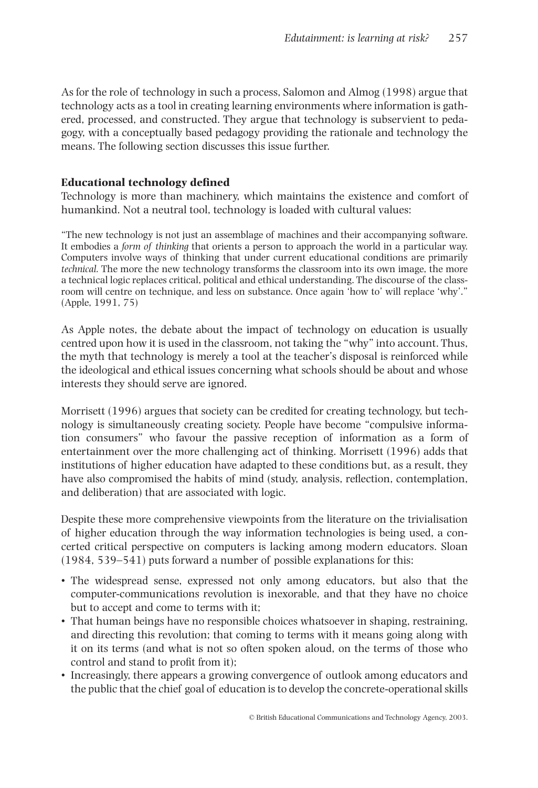As for the role of technology in such a process, Salomon and Almog (1998) argue that technology acts as a tool in creating learning environments where information is gathered, processed, and constructed. They argue that technology is subservient to pedagogy, with a conceptually based pedagogy providing the rationale and technology the means. The following section discusses this issue further.

## **Educational technology defined**

Technology is more than machinery, which maintains the existence and comfort of humankind. Not a neutral tool, technology is loaded with cultural values:

"The new technology is not just an assemblage of machines and their accompanying software. It embodies a *form of thinking* that orients a person to approach the world in a particular way. Computers involve ways of thinking that under current educational conditions are primarily *technical.* The more the new technology transforms the classroom into its own image, the more a technical logic replaces critical, political and ethical understanding. The discourse of the classroom will centre on technique, and less on substance. Once again 'how to' will replace 'why'." (Apple, 1991, 75)

As Apple notes, the debate about the impact of technology on education is usually centred upon how it is used in the classroom, not taking the "why" into account. Thus, the myth that technology is merely a tool at the teacher's disposal is reinforced while the ideological and ethical issues concerning what schools should be about and whose interests they should serve are ignored.

Morrisett (1996) argues that society can be credited for creating technology, but technology is simultaneously creating society. People have become "compulsive information consumers" who favour the passive reception of information as a form of entertainment over the more challenging act of thinking. Morrisett (1996) adds that institutions of higher education have adapted to these conditions but, as a result, they have also compromised the habits of mind (study, analysis, reflection, contemplation, and deliberation) that are associated with logic.

Despite these more comprehensive viewpoints from the literature on the trivialisation of higher education through the way information technologies is being used, a concerted critical perspective on computers is lacking among modern educators. Sloan (1984, 539–541) puts forward a number of possible explanations for this:

- The widespread sense, expressed not only among educators, but also that the computer-communications revolution is inexorable, and that they have no choice but to accept and come to terms with it;
- That human beings have no responsible choices whatsoever in shaping, restraining, and directing this revolution; that coming to terms with it means going along with it on its terms (and what is not so often spoken aloud, on the terms of those who control and stand to profit from it);
- Increasingly, there appears a growing convergence of outlook among educators and the public that the chief goal of education is to develop the concrete-operational skills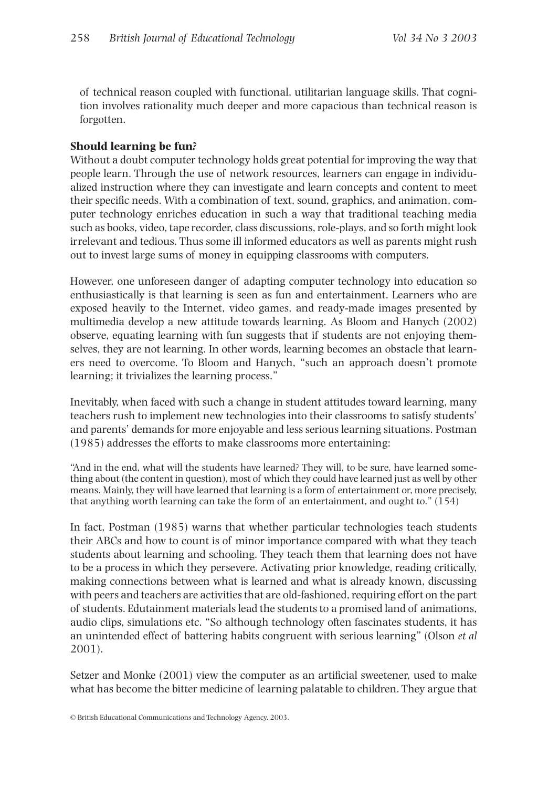of technical reason coupled with functional, utilitarian language skills. That cognition involves rationality much deeper and more capacious than technical reason is forgotten.

## **Should learning be fun?**

Without a doubt computer technology holds great potential for improving the way that people learn. Through the use of network resources, learners can engage in individualized instruction where they can investigate and learn concepts and content to meet their specific needs. With a combination of text, sound, graphics, and animation, computer technology enriches education in such a way that traditional teaching media such as books, video, tape recorder, class discussions, role-plays, and so forth might look irrelevant and tedious. Thus some ill informed educators as well as parents might rush out to invest large sums of money in equipping classrooms with computers.

However, one unforeseen danger of adapting computer technology into education so enthusiastically is that learning is seen as fun and entertainment. Learners who are exposed heavily to the Internet, video games, and ready-made images presented by multimedia develop a new attitude towards learning. As Bloom and Hanych (2002) observe, equating learning with fun suggests that if students are not enjoying themselves, they are not learning. In other words, learning becomes an obstacle that learners need to overcome. To Bloom and Hanych, "such an approach doesn't promote learning; it trivializes the learning process."

Inevitably, when faced with such a change in student attitudes toward learning, many teachers rush to implement new technologies into their classrooms to satisfy students' and parents' demands for more enjoyable and less serious learning situations. Postman (1985) addresses the efforts to make classrooms more entertaining:

"And in the end, what will the students have learned? They will, to be sure, have learned something about (the content in question), most of which they could have learned just as well by other means. Mainly, they will have learned that learning is a form of entertainment or, more precisely, that anything worth learning can take the form of an entertainment, and ought to." (154)

In fact, Postman (1985) warns that whether particular technologies teach students their ABCs and how to count is of minor importance compared with what they teach students about learning and schooling. They teach them that learning does not have to be a process in which they persevere. Activating prior knowledge, reading critically, making connections between what is learned and what is already known, discussing with peers and teachers are activities that are old-fashioned, requiring effort on the part of students. Edutainment materials lead the students to a promised land of animations, audio clips, simulations etc. "So although technology often fascinates students, it has an unintended effect of battering habits congruent with serious learning" (Olson *et al* 2001).

Setzer and Monke (2001) view the computer as an artificial sweetener, used to make what has become the bitter medicine of learning palatable to children. They argue that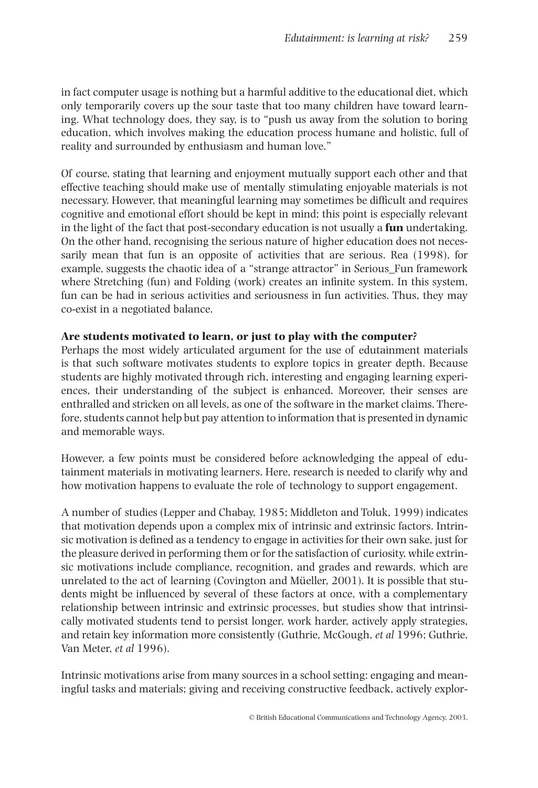in fact computer usage is nothing but a harmful additive to the educational diet, which only temporarily covers up the sour taste that too many children have toward learning. What technology does, they say, is to "push us away from the solution to boring education, which involves making the education process humane and holistic, full of reality and surrounded by enthusiasm and human love."

Of course, stating that learning and enjoyment mutually support each other and that effective teaching should make use of mentally stimulating enjoyable materials is not necessary. However, that meaningful learning may sometimes be difficult and requires cognitive and emotional effort should be kept in mind; this point is especially relevant in the light of the fact that post-secondary education is not usually a **fun** undertaking. On the other hand, recognising the serious nature of higher education does not necessarily mean that fun is an opposite of activities that are serious. Rea (1998), for example, suggests the chaotic idea of a "strange attractor" in Serious\_Fun framework where Stretching (fun) and Folding (work) creates an infinite system. In this system, fun can be had in serious activities and seriousness in fun activities. Thus, they may co-exist in a negotiated balance.

## **Are students motivated to learn, or just to play with the computer?**

Perhaps the most widely articulated argument for the use of edutainment materials is that such software motivates students to explore topics in greater depth. Because students are highly motivated through rich, interesting and engaging learning experiences, their understanding of the subject is enhanced. Moreover, their senses are enthralled and stricken on all levels, as one of the software in the market claims. Therefore, students cannot help but pay attention to information that is presented in dynamic and memorable ways.

However, a few points must be considered before acknowledging the appeal of edutainment materials in motivating learners. Here, research is needed to clarify why and how motivation happens to evaluate the role of technology to support engagement.

A number of studies (Lepper and Chabay, 1985; Middleton and Toluk, 1999) indicates that motivation depends upon a complex mix of intrinsic and extrinsic factors. Intrinsic motivation is defined as a tendency to engage in activities for their own sake, just for the pleasure derived in performing them or for the satisfaction of curiosity, while extrinsic motivations include compliance, recognition, and grades and rewards, which are unrelated to the act of learning (Covington and Müeller, 2001). It is possible that students might be influenced by several of these factors at once, with a complementary relationship between intrinsic and extrinsic processes, but studies show that intrinsically motivated students tend to persist longer, work harder, actively apply strategies, and retain key information more consistently (Guthrie, McGough, *et al* 1996; Guthrie, Van Meter, *et al* 1996).

Intrinsic motivations arise from many sources in a school setting: engaging and meaningful tasks and materials; giving and receiving constructive feedback, actively explor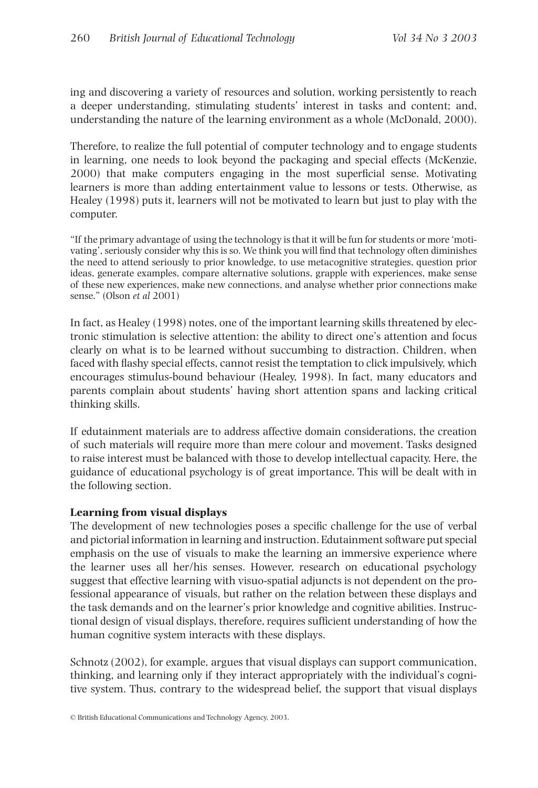ing and discovering a variety of resources and solution, working persistently to reach a deeper understanding, stimulating students' interest in tasks and content; and, understanding the nature of the learning environment as a whole (McDonald, 2000).

Therefore, to realize the full potential of computer technology and to engage students in learning, one needs to look beyond the packaging and special effects (McKenzie, 2000) that make computers engaging in the most superficial sense. Motivating learners is more than adding entertainment value to lessons or tests. Otherwise, as Healey (1998) puts it, learners will not be motivated to learn but just to play with the computer.

"If the primary advantage of using the technology is that it will be fun for students or more 'motivating', seriously consider why this is so. We think you will find that technology often diminishes the need to attend seriously to prior knowledge, to use metacognitive strategies, question prior ideas, generate examples, compare alternative solutions, grapple with experiences, make sense of these new experiences, make new connections, and analyse whether prior connections make sense." (Olson *et al* 2001)

In fact, as Healey (1998) notes, one of the important learning skills threatened by electronic stimulation is selective attention: the ability to direct one's attention and focus clearly on what is to be learned without succumbing to distraction. Children, when faced with flashy special effects, cannot resist the temptation to click impulsively, which encourages stimulus-bound behaviour (Healey, 1998). In fact, many educators and parents complain about students' having short attention spans and lacking critical thinking skills.

If edutainment materials are to address affective domain considerations, the creation of such materials will require more than mere colour and movement. Tasks designed to raise interest must be balanced with those to develop intellectual capacity. Here, the guidance of educational psychology is of great importance. This will be dealt with in the following section.

### **Learning from visual displays**

The development of new technologies poses a specific challenge for the use of verbal and pictorial information in learning and instruction. Edutainment software put special emphasis on the use of visuals to make the learning an immersive experience where the learner uses all her/his senses. However, research on educational psychology suggest that effective learning with visuo-spatial adjuncts is not dependent on the professional appearance of visuals, but rather on the relation between these displays and the task demands and on the learner's prior knowledge and cognitive abilities. Instructional design of visual displays, therefore, requires sufficient understanding of how the human cognitive system interacts with these displays.

Schnotz (2002), for example, argues that visual displays can support communication, thinking, and learning only if they interact appropriately with the individual's cognitive system. Thus, contrary to the widespread belief, the support that visual displays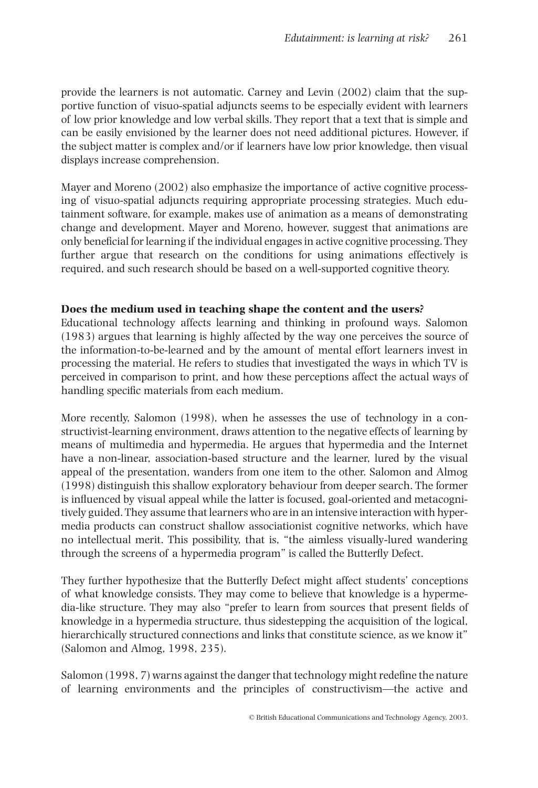provide the learners is not automatic. Carney and Levin (2002) claim that the supportive function of visuo-spatial adjuncts seems to be especially evident with learners of low prior knowledge and low verbal skills. They report that a text that is simple and can be easily envisioned by the learner does not need additional pictures. However, if the subject matter is complex and/or if learners have low prior knowledge, then visual displays increase comprehension.

Mayer and Moreno (2002) also emphasize the importance of active cognitive processing of visuo-spatial adjuncts requiring appropriate processing strategies. Much edutainment software, for example, makes use of animation as a means of demonstrating change and development. Mayer and Moreno, however, suggest that animations are only beneficial for learning if the individual engages in active cognitive processing. They further argue that research on the conditions for using animations effectively is required, and such research should be based on a well-supported cognitive theory.

### **Does the medium used in teaching shape the content and the users?**

Educational technology affects learning and thinking in profound ways. Salomon (1983) argues that learning is highly affected by the way one perceives the source of the information-to-be-learned and by the amount of mental effort learners invest in processing the material. He refers to studies that investigated the ways in which TV is perceived in comparison to print, and how these perceptions affect the actual ways of handling specific materials from each medium.

More recently, Salomon (1998), when he assesses the use of technology in a constructivist-learning environment, draws attention to the negative effects of learning by means of multimedia and hypermedia. He argues that hypermedia and the Internet have a non-linear, association-based structure and the learner, lured by the visual appeal of the presentation, wanders from one item to the other. Salomon and Almog (1998) distinguish this shallow exploratory behaviour from deeper search. The former is influenced by visual appeal while the latter is focused, goal-oriented and metacognitively guided. They assume that learners who are in an intensive interaction with hypermedia products can construct shallow associationist cognitive networks, which have no intellectual merit. This possibility, that is, "the aimless visually-lured wandering through the screens of a hypermedia program" is called the Butterfly Defect.

They further hypothesize that the Butterfly Defect might affect students' conceptions of what knowledge consists. They may come to believe that knowledge is a hypermedia-like structure. They may also "prefer to learn from sources that present fields of knowledge in a hypermedia structure, thus sidestepping the acquisition of the logical, hierarchically structured connections and links that constitute science, as we know it" (Salomon and Almog, 1998, 235).

Salomon (1998, 7) warns against the danger that technology might redefine the nature of learning environments and the principles of constructivism—the active and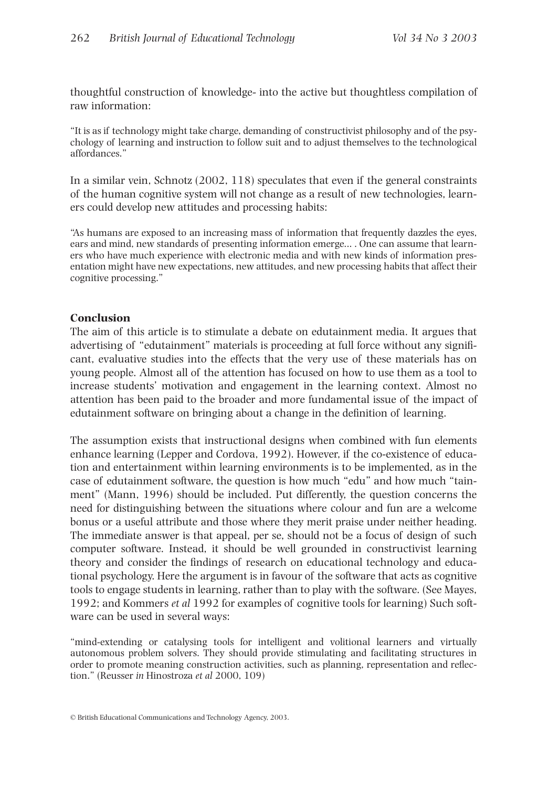thoughtful construction of knowledge- into the active but thoughtless compilation of raw information:

"It is as if technology might take charge, demanding of constructivist philosophy and of the psychology of learning and instruction to follow suit and to adjust themselves to the technological affordances."

In a similar vein, Schnotz (2002, 118) speculates that even if the general constraints of the human cognitive system will not change as a result of new technologies, learners could develop new attitudes and processing habits:

"As humans are exposed to an increasing mass of information that frequently dazzles the eyes, ears and mind, new standards of presenting information emerge... . One can assume that learners who have much experience with electronic media and with new kinds of information presentation might have new expectations, new attitudes, and new processing habits that affect their cognitive processing."

### **Conclusion**

The aim of this article is to stimulate a debate on edutainment media. It argues that advertising of "edutainment" materials is proceeding at full force without any significant, evaluative studies into the effects that the very use of these materials has on young people. Almost all of the attention has focused on how to use them as a tool to increase students' motivation and engagement in the learning context. Almost no attention has been paid to the broader and more fundamental issue of the impact of edutainment software on bringing about a change in the definition of learning.

The assumption exists that instructional designs when combined with fun elements enhance learning (Lepper and Cordova, 1992). However, if the co-existence of education and entertainment within learning environments is to be implemented, as in the case of edutainment software, the question is how much "edu" and how much "tainment" (Mann, 1996) should be included. Put differently, the question concerns the need for distinguishing between the situations where colour and fun are a welcome bonus or a useful attribute and those where they merit praise under neither heading. The immediate answer is that appeal, per se, should not be a focus of design of such computer software. Instead, it should be well grounded in constructivist learning theory and consider the findings of research on educational technology and educational psychology. Here the argument is in favour of the software that acts as cognitive tools to engage students in learning, rather than to play with the software. (See Mayes, 1992; and Kommers *et al* 1992 for examples of cognitive tools for learning) Such software can be used in several ways:

"mind-extending or catalysing tools for intelligent and volitional learners and virtually autonomous problem solvers. They should provide stimulating and facilitating structures in order to promote meaning construction activities, such as planning, representation and reflection." (Reusser *in* Hinostroza *et al* 2000, 109)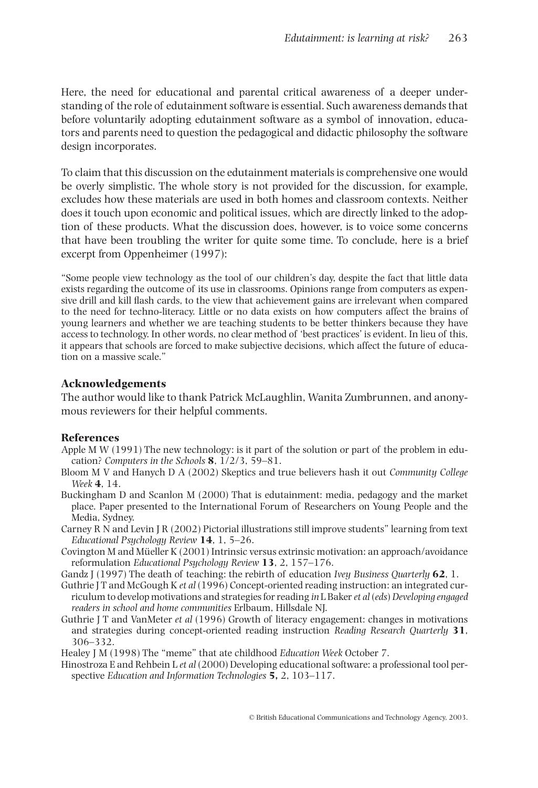Here, the need for educational and parental critical awareness of a deeper understanding of the role of edutainment software is essential. Such awareness demands that before voluntarily adopting edutainment software as a symbol of innovation, educators and parents need to question the pedagogical and didactic philosophy the software design incorporates.

To claim that this discussion on the edutainment materials is comprehensive one would be overly simplistic. The whole story is not provided for the discussion, for example, excludes how these materials are used in both homes and classroom contexts. Neither does it touch upon economic and political issues, which are directly linked to the adoption of these products. What the discussion does, however, is to voice some concerns that have been troubling the writer for quite some time. To conclude, here is a brief excerpt from Oppenheimer (1997):

"Some people view technology as the tool of our children's day, despite the fact that little data exists regarding the outcome of its use in classrooms. Opinions range from computers as expensive drill and kill flash cards, to the view that achievement gains are irrelevant when compared to the need for techno-literacy. Little or no data exists on how computers affect the brains of young learners and whether we are teaching students to be better thinkers because they have access to technology. In other words, no clear method of 'best practices' is evident. In lieu of this, it appears that schools are forced to make subjective decisions, which affect the future of education on a massive scale."

#### **Acknowledgements**

The author would like to thank Patrick McLaughlin, Wanita Zumbrunnen, and anonymous reviewers for their helpful comments.

#### **References**

- Apple M W (1991) The new technology: is it part of the solution or part of the problem in education? *Computers in the Schools* **8**, 1/2/3, 59–81.
- Bloom M V and Hanych D A (2002) Skeptics and true believers hash it out *Community College Week* **4**, 14.
- Buckingham D and Scanlon M (2000) That is edutainment: media, pedagogy and the market place. Paper presented to the International Forum of Researchers on Young People and the Media, Sydney.
- Carney R N and Levin J R (2002) Pictorial illustrations still improve students" learning from text *Educational Psychology Review* **14**, 1, 5–26.
- Covington M and Müeller K (2001) Intrinsic versus extrinsic motivation: an approach/avoidance reformulation *Educational Psychology Review* **13**, 2, 157–176.
- Gandz J (1997) The death of teaching: the rebirth of education *Ivey Business Quarterly* **62**, 1.
- Guthrie I T and McGough K *et al* (1996) Concept-oriented reading instruction: an integrated curriculum to develop motivations and strategies for reading *in* L Baker *et al* (*eds*) *Developing engaged readers in school and home communities* Erlbaum, Hillsdale NJ.
- Guthrie J T and VanMeter *et al* (1996) Growth of literacy engagement: changes in motivations and strategies during concept-oriented reading instruction *Reading Research Quarterly* **31**, 306–332.

Healey J M (1998) The "meme" that ate childhood *Education Week* October 7.

Hinostroza E and Rehbein L *et al* (2000) Developing educational software: a professional tool perspective *Education and Information Technologies* **5,** 2, 103–117.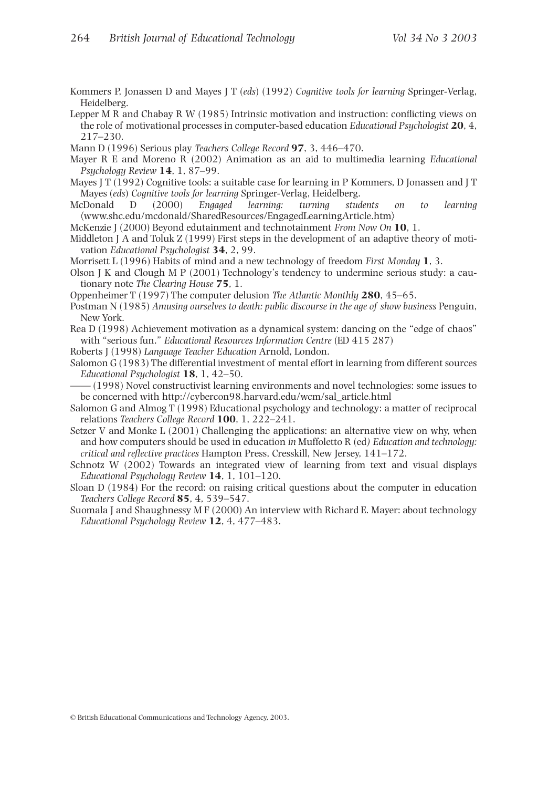Kommers P, Jonassen D and Mayes J T (*eds*) (1992) *Cognitive tools for learning* Springer-Verlag, Heidelberg.

Lepper M R and Chabay R W (1985) Intrinsic motivation and instruction: conflicting views on the role of motivational processes in computer-based education *Educational Psychologist* **20**, 4, 217–230.

Mann D (1996) Serious play *Teachers College Record* **97**, 3, 446–470.

- Mayer R E and Moreno R (2002) Animation as an aid to multimedia learning *Educational Psychology Review* **14**, 1, 87–99.
- Mayes J T (1992) Cognitive tools: a suitable case for learning in P Kommers, D Jonassen and J T Mayes (*eds*) *Cognitive tools for learning* Springer-Verlag, Heidelberg.
- McDonald D (2000) *Engaged learning: turning students on to learning*  $\langle$ www.shc.edu/mcdonald/SharedResources/EngagedLearningArticle.htm $\rangle$
- McKenzie J (2000) Beyond edutainment and technotainment *From Now On* **10**, 1.
- Middleton J A and Toluk Z (1999) First steps in the development of an adaptive theory of motivation *Educational Psychologist* **34**, 2, 99.
- Morrisett L (1996) Habits of mind and a new technology of freedom *First Monday* **1**, 3.
- Olson J K and Clough M P (2001) Technology's tendency to undermine serious study: a cautionary note *The Clearing House* **75**, 1.
- Oppenheimer T (1997) The computer delusion *The Atlantic Monthly* **280**, 45–65.
- Postman N (1985) *Amusing ourselves to death: public discourse in the age of show business* Penguin, New York.
- Rea D (1998) Achievement motivation as a dynamical system: dancing on the "edge of chaos" with "serious fun." *Educational Resources Information Centre* (ED 415 287)
- Roberts J (1998) *Language Teacher Education* Arnold, London.
- Salomon G (1983) The differential investment of mental effort in learning from different sources *Educational Psychologist* **18**, 1, 42–50.
- —— (1998) Novel constructivist learning environments and novel technologies: some issues to be concerned with [http://cybercon98.harvard.edu/wcm/sal\\_article.html](http://cybercon98.harvard.edu/wcm/sal_article.html)
- Salomon G and Almog T (1998) Educational psychology and technology: a matter of reciprocal relations *Teachers College Record* **100**, 1, 222–241.
- Setzer V and Monke L (2001) Challenging the applications: an alternative view on why, when and how computers should be used in education *in* Muffoletto R (ed*) Education and technology: critical and reflective practices* Hampton Press, Cresskill, New Jersey, 141–172.
- Schnotz W (2002) Towards an integrated view of learning from text and visual displays *Educational Psychology Review* **14**, 1, 101–120.
- Sloan D (1984) For the record: on raising critical questions about the computer in education *Teachers College Record* **85**, 4, 539–547.
- Suomala J and Shaughnessy M F (2000) An interview with Richard E. Mayer: about technology *Educational Psychology Review* **12**, 4, 477–483.